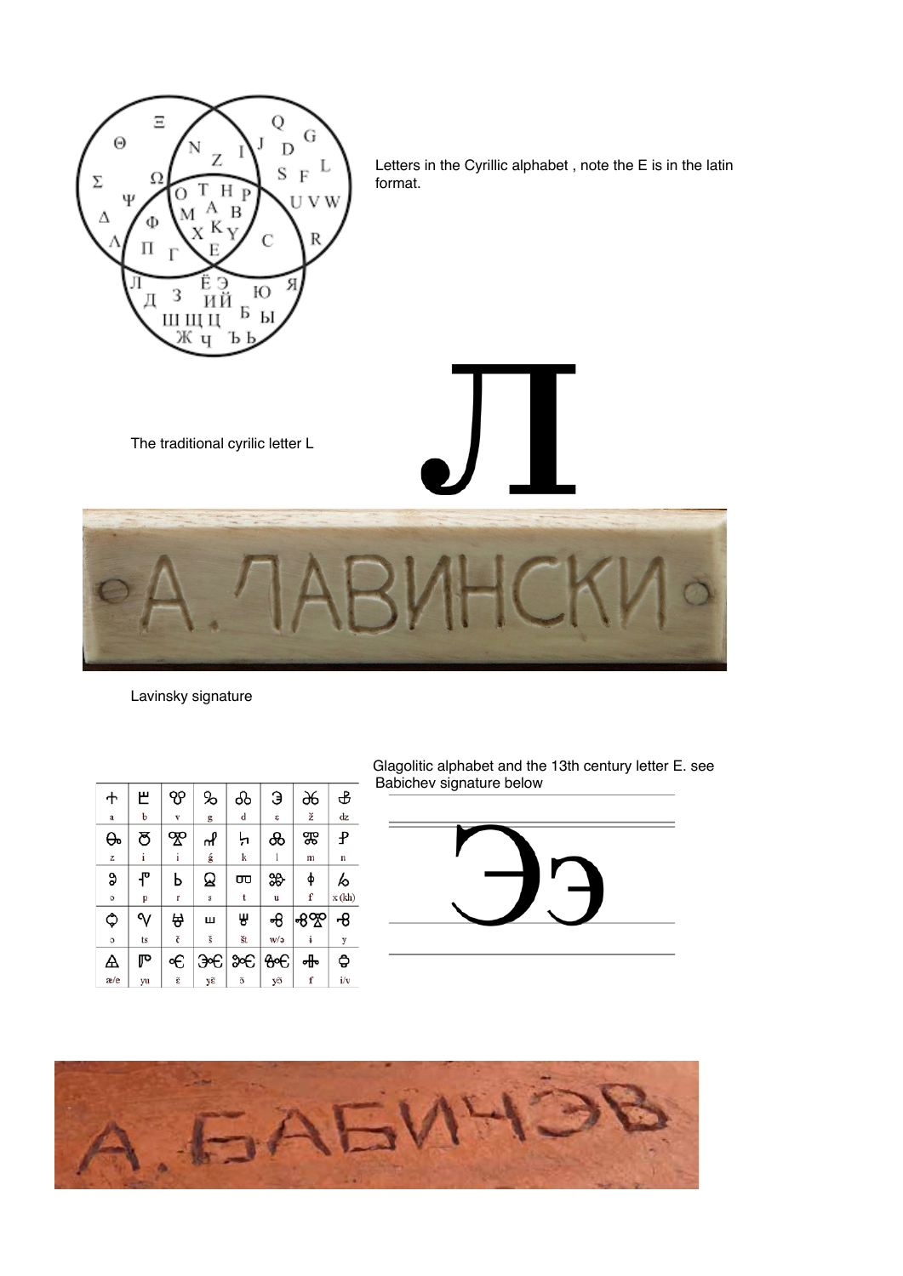

Letters in the Cyrillic alphabet , note the E is in the latin format.

The traditional cyrilic letter L



Lavinsky signature

| ተ   | 巴   | ၯ | %  | ൿ           | Э   | Ж,  | ፁ      |
|-----|-----|---|----|-------------|-----|-----|--------|
| a   | b   | v | g  | d           | S.  | ž   | dz     |
| ᠪᠣ  | ఠ   | ஜ | ୷  | Ļı          | ൿ   | ஐ   | Ł      |
| z   | i   | i | ģ  | k           |     | m   | n      |
| 9   | ዋ   | Ь | ଛ  | ᡂ           | ₩   | ф   | ю      |
| o   | p   | r | s  | t           | u   | f   | x (kh) |
| ٥   | ∿   | ₩ | Ш  | ₩           | +8  | ಕಿಞ | ୫      |
| O   | ts  | č | š  | št          | w/a |     | y      |
| Α   | ঢ়∾ | € |    | Э∞Є∣Э∞Є     | o€  | Ⴛ   | ₿      |
| æ/e | yu  | ĝ | yἕ | $\tilde{3}$ | yõ  | f   | i/v    |

Glagolitic alphabet and the 13th century letter E. see Babichev signature below